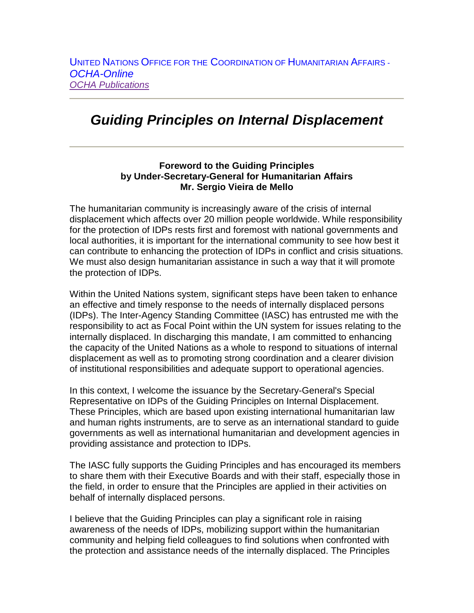# **Guiding Principles on Internal Displacement**

#### **Foreword to the Guiding Principles by Under-Secretary-General for Humanitarian Affairs Mr. Sergio Vieira de Mello**

The humanitarian community is increasingly aware of the crisis of internal displacement which affects over 20 million people worldwide. While responsibility for the protection of IDPs rests first and foremost with national governments and local authorities, it is important for the international community to see how best it can contribute to enhancing the protection of IDPs in conflict and crisis situations. We must also design humanitarian assistance in such a way that it will promote the protection of IDPs.

Within the United Nations system, significant steps have been taken to enhance an effective and timely response to the needs of internally displaced persons (IDPs). The Inter-Agency Standing Committee (IASC) has entrusted me with the responsibility to act as Focal Point within the UN system for issues relating to the internally displaced. In discharging this mandate, I am committed to enhancing the capacity of the United Nations as a whole to respond to situations of internal displacement as well as to promoting strong coordination and a clearer division of institutional responsibilities and adequate support to operational agencies.

In this context, I welcome the issuance by the Secretary-General's Special Representative on IDPs of the Guiding Principles on Internal Displacement. These Principles, which are based upon existing international humanitarian law and human rights instruments, are to serve as an international standard to guide governments as well as international humanitarian and development agencies in providing assistance and protection to IDPs.

The IASC fully supports the Guiding Principles and has encouraged its members to share them with their Executive Boards and with their staff, especially those in the field, in order to ensure that the Principles are applied in their activities on behalf of internally displaced persons.

I believe that the Guiding Principles can play a significant role in raising awareness of the needs of IDPs, mobilizing support within the humanitarian community and helping field colleagues to find solutions when confronted with the protection and assistance needs of the internally displaced. The Principles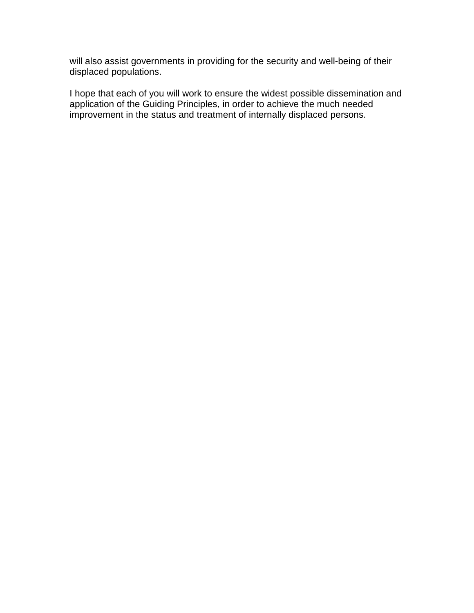will also assist governments in providing for the security and well-being of their displaced populations.

I hope that each of you will work to ensure the widest possible dissemination and application of the Guiding Principles, in order to achieve the much needed improvement in the status and treatment of internally displaced persons.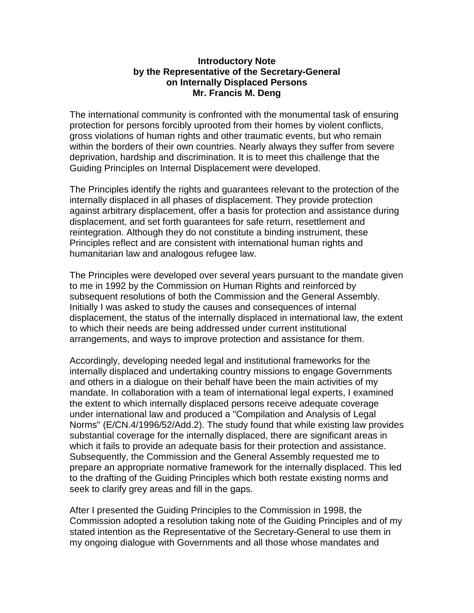#### **Introductory Note by the Representative of the Secretary-General on Internally Displaced Persons Mr. Francis M. Deng**

The international community is confronted with the monumental task of ensuring protection for persons forcibly uprooted from their homes by violent conflicts, gross violations of human rights and other traumatic events, but who remain within the borders of their own countries. Nearly always they suffer from severe deprivation, hardship and discrimination. It is to meet this challenge that the Guiding Principles on Internal Displacement were developed.

The Principles identify the rights and guarantees relevant to the protection of the internally displaced in all phases of displacement. They provide protection against arbitrary displacement, offer a basis for protection and assistance during displacement, and set forth guarantees for safe return, resettlement and reintegration. Although they do not constitute a binding instrument, these Principles reflect and are consistent with international human rights and humanitarian law and analogous refugee law.

The Principles were developed over several years pursuant to the mandate given to me in 1992 by the Commission on Human Rights and reinforced by subsequent resolutions of both the Commission and the General Assembly. Initially I was asked to study the causes and consequences of internal displacement, the status of the internally displaced in international law, the extent to which their needs are being addressed under current institutional arrangements, and ways to improve protection and assistance for them.

Accordingly, developing needed legal and institutional frameworks for the internally displaced and undertaking country missions to engage Governments and others in a dialogue on their behalf have been the main activities of my mandate. In collaboration with a team of international legal experts, I examined the extent to which internally displaced persons receive adequate coverage under international law and produced a "Compilation and Analysis of Legal Norms" (E/CN.4/1996/52/Add.2). The study found that while existing law provides substantial coverage for the internally displaced, there are significant areas in which it fails to provide an adequate basis for their protection and assistance. Subsequently, the Commission and the General Assembly requested me to prepare an appropriate normative framework for the internally displaced. This led to the drafting of the Guiding Principles which both restate existing norms and seek to clarify grey areas and fill in the gaps.

After I presented the Guiding Principles to the Commission in 1998, the Commission adopted a resolution taking note of the Guiding Principles and of my stated intention as the Representative of the Secretary-General to use them in my ongoing dialogue with Governments and all those whose mandates and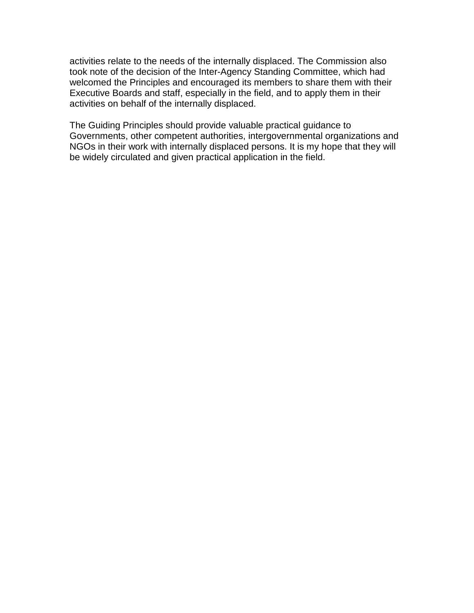activities relate to the needs of the internally displaced. The Commission also took note of the decision of the Inter-Agency Standing Committee, which had welcomed the Principles and encouraged its members to share them with their Executive Boards and staff, especially in the field, and to apply them in their activities on behalf of the internally displaced.

The Guiding Principles should provide valuable practical guidance to Governments, other competent authorities, intergovernmental organizations and NGOs in their work with internally displaced persons. It is my hope that they will be widely circulated and given practical application in the field.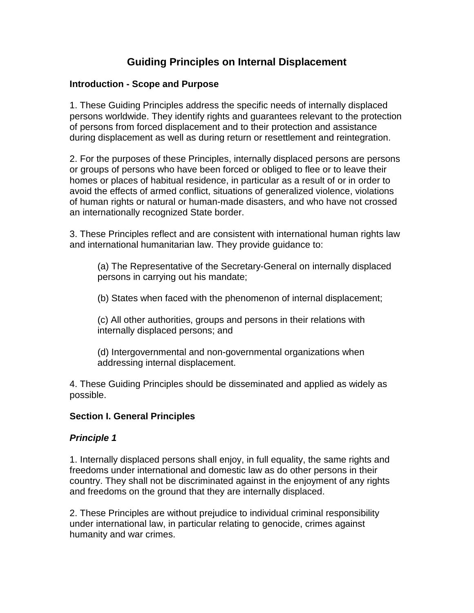# **Guiding Principles on Internal Displacement**

#### **Introduction - Scope and Purpose**

1. These Guiding Principles address the specific needs of internally displaced persons worldwide. They identify rights and guarantees relevant to the protection of persons from forced displacement and to their protection and assistance during displacement as well as during return or resettlement and reintegration.

2. For the purposes of these Principles, internally displaced persons are persons or groups of persons who have been forced or obliged to flee or to leave their homes or places of habitual residence, in particular as a result of or in order to avoid the effects of armed conflict, situations of generalized violence, violations of human rights or natural or human-made disasters, and who have not crossed an internationally recognized State border.

3. These Principles reflect and are consistent with international human rights law and international humanitarian law. They provide guidance to:

(a) The Representative of the Secretary-General on internally displaced persons in carrying out his mandate;

(b) States when faced with the phenomenon of internal displacement;

(c) All other authorities, groups and persons in their relations with internally displaced persons; and

(d) Intergovernmental and non-governmental organizations when addressing internal displacement.

4. These Guiding Principles should be disseminated and applied as widely as possible.

#### **Section I. General Principles**

#### **Principle 1**

1. Internally displaced persons shall enjoy, in full equality, the same rights and freedoms under international and domestic law as do other persons in their country. They shall not be discriminated against in the enjoyment of any rights and freedoms on the ground that they are internally displaced.

2. These Principles are without prejudice to individual criminal responsibility under international law, in particular relating to genocide, crimes against humanity and war crimes.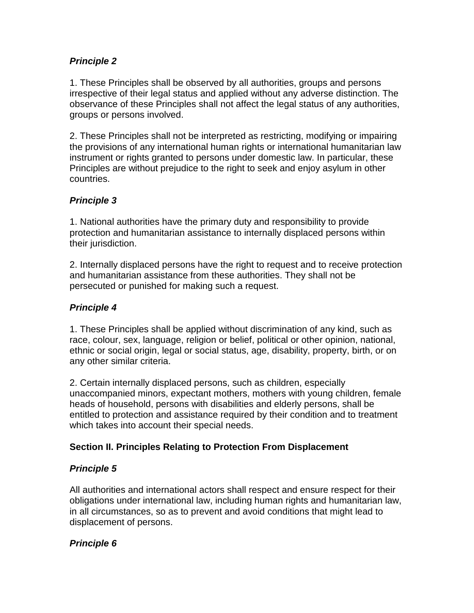## **Principle 2**

1. These Principles shall be observed by all authorities, groups and persons irrespective of their legal status and applied without any adverse distinction. The observance of these Principles shall not affect the legal status of any authorities, groups or persons involved.

2. These Principles shall not be interpreted as restricting, modifying or impairing the provisions of any international human rights or international humanitarian law instrument or rights granted to persons under domestic law. In particular, these Principles are without prejudice to the right to seek and enjoy asylum in other countries.

# **Principle 3**

1. National authorities have the primary duty and responsibility to provide protection and humanitarian assistance to internally displaced persons within their jurisdiction.

2. Internally displaced persons have the right to request and to receive protection and humanitarian assistance from these authorities. They shall not be persecuted or punished for making such a request.

## **Principle 4**

1. These Principles shall be applied without discrimination of any kind, such as race, colour, sex, language, religion or belief, political or other opinion, national, ethnic or social origin, legal or social status, age, disability, property, birth, or on any other similar criteria.

2. Certain internally displaced persons, such as children, especially unaccompanied minors, expectant mothers, mothers with young children, female heads of household, persons with disabilities and elderly persons, shall be entitled to protection and assistance required by their condition and to treatment which takes into account their special needs.

## **Section II. Principles Relating to Protection From Displacement**

## **Principle 5**

All authorities and international actors shall respect and ensure respect for their obligations under international law, including human rights and humanitarian law, in all circumstances, so as to prevent and avoid conditions that might lead to displacement of persons.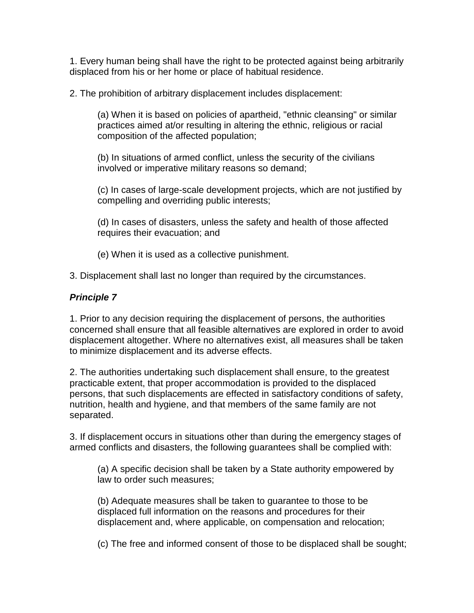1. Every human being shall have the right to be protected against being arbitrarily displaced from his or her home or place of habitual residence.

2. The prohibition of arbitrary displacement includes displacement:

(a) When it is based on policies of apartheid, "ethnic cleansing" or similar practices aimed at/or resulting in altering the ethnic, religious or racial composition of the affected population;

(b) In situations of armed conflict, unless the security of the civilians involved or imperative military reasons so demand;

(c) In cases of large-scale development projects, which are not justified by compelling and overriding public interests;

(d) In cases of disasters, unless the safety and health of those affected requires their evacuation; and

(e) When it is used as a collective punishment.

3. Displacement shall last no longer than required by the circumstances.

## **Principle 7**

1. Prior to any decision requiring the displacement of persons, the authorities concerned shall ensure that all feasible alternatives are explored in order to avoid displacement altogether. Where no alternatives exist, all measures shall be taken to minimize displacement and its adverse effects.

2. The authorities undertaking such displacement shall ensure, to the greatest practicable extent, that proper accommodation is provided to the displaced persons, that such displacements are effected in satisfactory conditions of safety, nutrition, health and hygiene, and that members of the same family are not separated.

3. If displacement occurs in situations other than during the emergency stages of armed conflicts and disasters, the following guarantees shall be complied with:

(a) A specific decision shall be taken by a State authority empowered by law to order such measures;

(b) Adequate measures shall be taken to guarantee to those to be displaced full information on the reasons and procedures for their displacement and, where applicable, on compensation and relocation;

(c) The free and informed consent of those to be displaced shall be sought;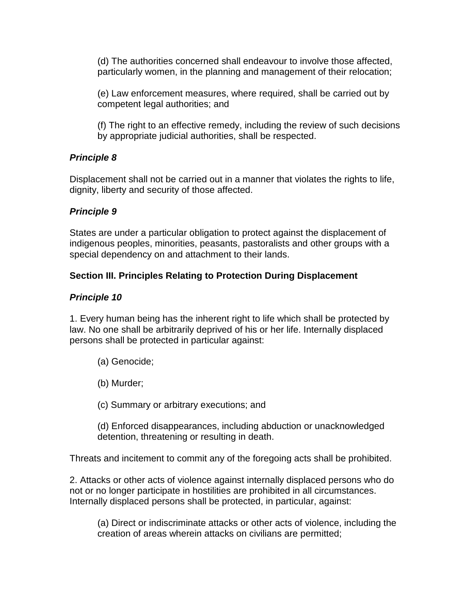(d) The authorities concerned shall endeavour to involve those affected, particularly women, in the planning and management of their relocation;

(e) Law enforcement measures, where required, shall be carried out by competent legal authorities; and

(f) The right to an effective remedy, including the review of such decisions by appropriate judicial authorities, shall be respected.

## **Principle 8**

Displacement shall not be carried out in a manner that violates the rights to life, dignity, liberty and security of those affected.

## **Principle 9**

States are under a particular obligation to protect against the displacement of indigenous peoples, minorities, peasants, pastoralists and other groups with a special dependency on and attachment to their lands.

## **Section III. Principles Relating to Protection During Displacement**

## **Principle 10**

1. Every human being has the inherent right to life which shall be protected by law. No one shall be arbitrarily deprived of his or her life. Internally displaced persons shall be protected in particular against:

- (a) Genocide;
- (b) Murder;
- (c) Summary or arbitrary executions; and

(d) Enforced disappearances, including abduction or unacknowledged detention, threatening or resulting in death.

Threats and incitement to commit any of the foregoing acts shall be prohibited.

2. Attacks or other acts of violence against internally displaced persons who do not or no longer participate in hostilities are prohibited in all circumstances. Internally displaced persons shall be protected, in particular, against:

(a) Direct or indiscriminate attacks or other acts of violence, including the creation of areas wherein attacks on civilians are permitted;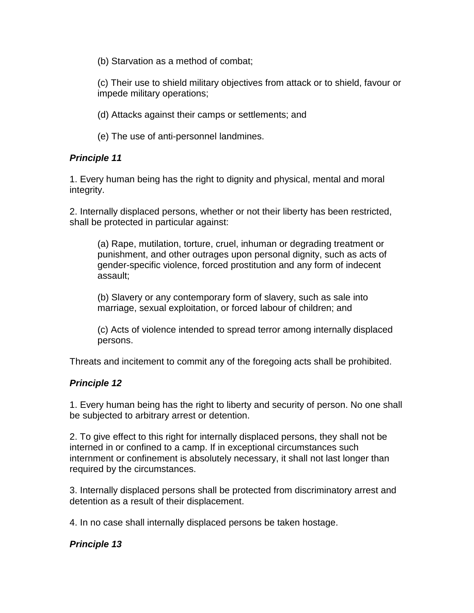(b) Starvation as a method of combat;

(c) Their use to shield military objectives from attack or to shield, favour or impede military operations;

(d) Attacks against their camps or settlements; and

(e) The use of anti-personnel landmines.

# **Principle 11**

1. Every human being has the right to dignity and physical, mental and moral integrity.

2. Internally displaced persons, whether or not their liberty has been restricted, shall be protected in particular against:

(a) Rape, mutilation, torture, cruel, inhuman or degrading treatment or punishment, and other outrages upon personal dignity, such as acts of gender-specific violence, forced prostitution and any form of indecent assault;

(b) Slavery or any contemporary form of slavery, such as sale into marriage, sexual exploitation, or forced labour of children; and

(c) Acts of violence intended to spread terror among internally displaced persons.

Threats and incitement to commit any of the foregoing acts shall be prohibited.

# **Principle 12**

1. Every human being has the right to liberty and security of person. No one shall be subjected to arbitrary arrest or detention.

2. To give effect to this right for internally displaced persons, they shall not be interned in or confined to a camp. If in exceptional circumstances such internment or confinement is absolutely necessary, it shall not last longer than required by the circumstances.

3. Internally displaced persons shall be protected from discriminatory arrest and detention as a result of their displacement.

4. In no case shall internally displaced persons be taken hostage.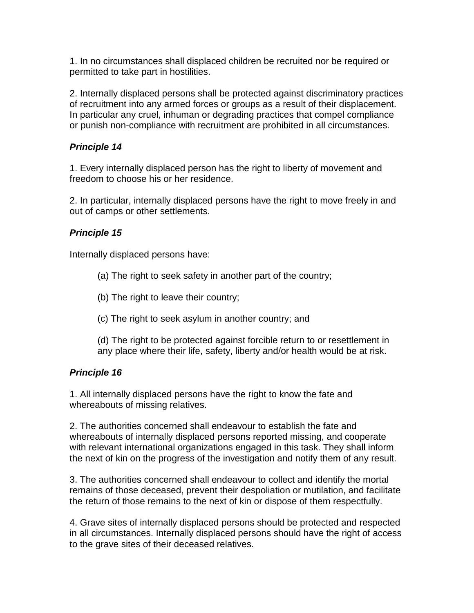1. In no circumstances shall displaced children be recruited nor be required or permitted to take part in hostilities.

2. Internally displaced persons shall be protected against discriminatory practices of recruitment into any armed forces or groups as a result of their displacement. In particular any cruel, inhuman or degrading practices that compel compliance or punish non-compliance with recruitment are prohibited in all circumstances.

#### **Principle 14**

1. Every internally displaced person has the right to liberty of movement and freedom to choose his or her residence.

2. In particular, internally displaced persons have the right to move freely in and out of camps or other settlements.

#### **Principle 15**

Internally displaced persons have:

- (a) The right to seek safety in another part of the country;
- (b) The right to leave their country;
- (c) The right to seek asylum in another country; and

(d) The right to be protected against forcible return to or resettlement in any place where their life, safety, liberty and/or health would be at risk.

## **Principle 16**

1. All internally displaced persons have the right to know the fate and whereabouts of missing relatives.

2. The authorities concerned shall endeavour to establish the fate and whereabouts of internally displaced persons reported missing, and cooperate with relevant international organizations engaged in this task. They shall inform the next of kin on the progress of the investigation and notify them of any result.

3. The authorities concerned shall endeavour to collect and identify the mortal remains of those deceased, prevent their despoliation or mutilation, and facilitate the return of those remains to the next of kin or dispose of them respectfully.

4. Grave sites of internally displaced persons should be protected and respected in all circumstances. Internally displaced persons should have the right of access to the grave sites of their deceased relatives.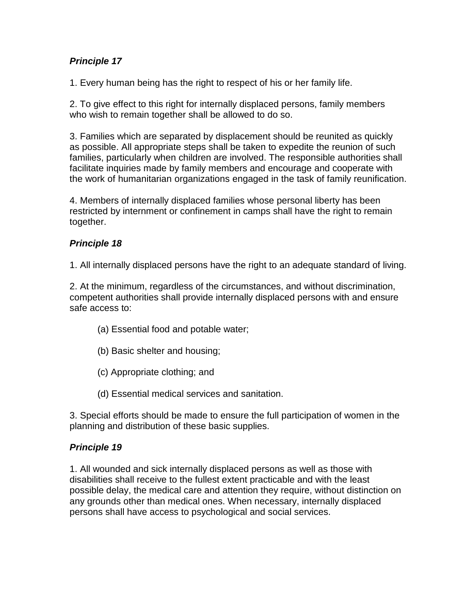## **Principle 17**

1. Every human being has the right to respect of his or her family life.

2. To give effect to this right for internally displaced persons, family members who wish to remain together shall be allowed to do so.

3. Families which are separated by displacement should be reunited as quickly as possible. All appropriate steps shall be taken to expedite the reunion of such families, particularly when children are involved. The responsible authorities shall facilitate inquiries made by family members and encourage and cooperate with the work of humanitarian organizations engaged in the task of family reunification.

4. Members of internally displaced families whose personal liberty has been restricted by internment or confinement in camps shall have the right to remain together.

## **Principle 18**

1. All internally displaced persons have the right to an adequate standard of living.

2. At the minimum, regardless of the circumstances, and without discrimination, competent authorities shall provide internally displaced persons with and ensure safe access to:

- (a) Essential food and potable water;
- (b) Basic shelter and housing;
- (c) Appropriate clothing; and
- (d) Essential medical services and sanitation.

3. Special efforts should be made to ensure the full participation of women in the planning and distribution of these basic supplies.

## **Principle 19**

1. All wounded and sick internally displaced persons as well as those with disabilities shall receive to the fullest extent practicable and with the least possible delay, the medical care and attention they require, without distinction on any grounds other than medical ones. When necessary, internally displaced persons shall have access to psychological and social services.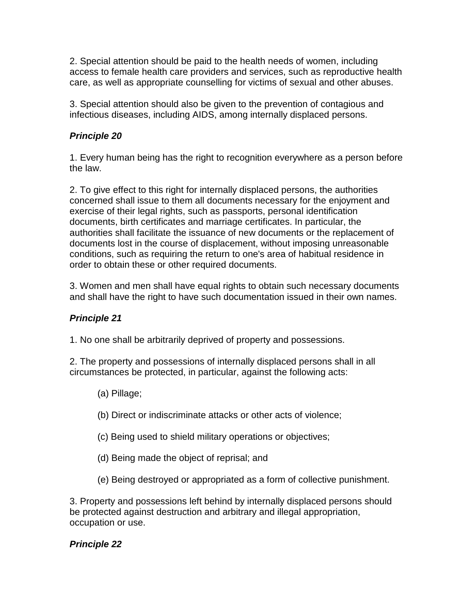2. Special attention should be paid to the health needs of women, including access to female health care providers and services, such as reproductive health care, as well as appropriate counselling for victims of sexual and other abuses.

3. Special attention should also be given to the prevention of contagious and infectious diseases, including AIDS, among internally displaced persons.

# **Principle 20**

1. Every human being has the right to recognition everywhere as a person before the law.

2. To give effect to this right for internally displaced persons, the authorities concerned shall issue to them all documents necessary for the enjoyment and exercise of their legal rights, such as passports, personal identification documents, birth certificates and marriage certificates. In particular, the authorities shall facilitate the issuance of new documents or the replacement of documents lost in the course of displacement, without imposing unreasonable conditions, such as requiring the return to one's area of habitual residence in order to obtain these or other required documents.

3. Women and men shall have equal rights to obtain such necessary documents and shall have the right to have such documentation issued in their own names.

# **Principle 21**

1. No one shall be arbitrarily deprived of property and possessions.

2. The property and possessions of internally displaced persons shall in all circumstances be protected, in particular, against the following acts:

- (a) Pillage;
- (b) Direct or indiscriminate attacks or other acts of violence;
- (c) Being used to shield military operations or objectives;
- (d) Being made the object of reprisal; and
- (e) Being destroyed or appropriated as a form of collective punishment.

3. Property and possessions left behind by internally displaced persons should be protected against destruction and arbitrary and illegal appropriation, occupation or use.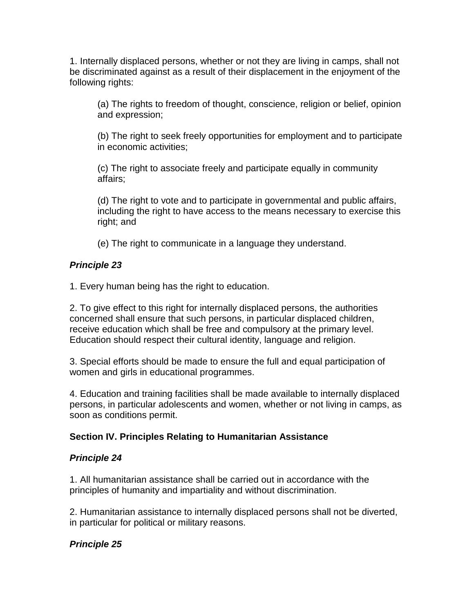1. Internally displaced persons, whether or not they are living in camps, shall not be discriminated against as a result of their displacement in the enjoyment of the following rights:

(a) The rights to freedom of thought, conscience, religion or belief, opinion and expression;

(b) The right to seek freely opportunities for employment and to participate in economic activities;

(c) The right to associate freely and participate equally in community affairs;

(d) The right to vote and to participate in governmental and public affairs, including the right to have access to the means necessary to exercise this right; and

(e) The right to communicate in a language they understand.

## **Principle 23**

1. Every human being has the right to education.

2. To give effect to this right for internally displaced persons, the authorities concerned shall ensure that such persons, in particular displaced children, receive education which shall be free and compulsory at the primary level. Education should respect their cultural identity, language and religion.

3. Special efforts should be made to ensure the full and equal participation of women and girls in educational programmes.

4. Education and training facilities shall be made available to internally displaced persons, in particular adolescents and women, whether or not living in camps, as soon as conditions permit.

## **Section IV. Principles Relating to Humanitarian Assistance**

## **Principle 24**

1. All humanitarian assistance shall be carried out in accordance with the principles of humanity and impartiality and without discrimination.

2. Humanitarian assistance to internally displaced persons shall not be diverted, in particular for political or military reasons.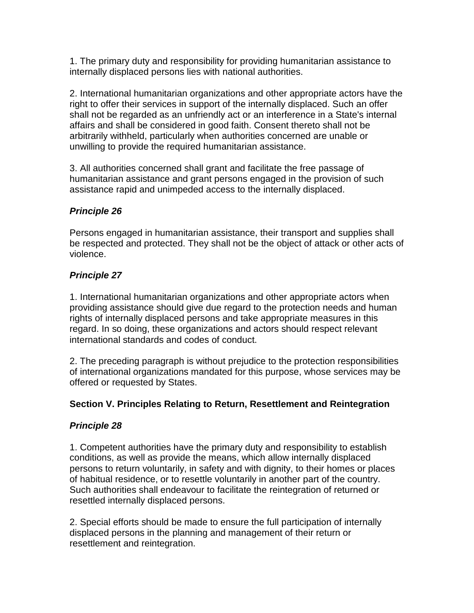1. The primary duty and responsibility for providing humanitarian assistance to internally displaced persons lies with national authorities.

2. International humanitarian organizations and other appropriate actors have the right to offer their services in support of the internally displaced. Such an offer shall not be regarded as an unfriendly act or an interference in a State's internal affairs and shall be considered in good faith. Consent thereto shall not be arbitrarily withheld, particularly when authorities concerned are unable or unwilling to provide the required humanitarian assistance.

3. All authorities concerned shall grant and facilitate the free passage of humanitarian assistance and grant persons engaged in the provision of such assistance rapid and unimpeded access to the internally displaced.

## **Principle 26**

Persons engaged in humanitarian assistance, their transport and supplies shall be respected and protected. They shall not be the object of attack or other acts of violence.

## **Principle 27**

1. International humanitarian organizations and other appropriate actors when providing assistance should give due regard to the protection needs and human rights of internally displaced persons and take appropriate measures in this regard. In so doing, these organizations and actors should respect relevant international standards and codes of conduct.

2. The preceding paragraph is without prejudice to the protection responsibilities of international organizations mandated for this purpose, whose services may be offered or requested by States.

# **Section V. Principles Relating to Return, Resettlement and Reintegration**

## **Principle 28**

1. Competent authorities have the primary duty and responsibility to establish conditions, as well as provide the means, which allow internally displaced persons to return voluntarily, in safety and with dignity, to their homes or places of habitual residence, or to resettle voluntarily in another part of the country. Such authorities shall endeavour to facilitate the reintegration of returned or resettled internally displaced persons.

2. Special efforts should be made to ensure the full participation of internally displaced persons in the planning and management of their return or resettlement and reintegration.